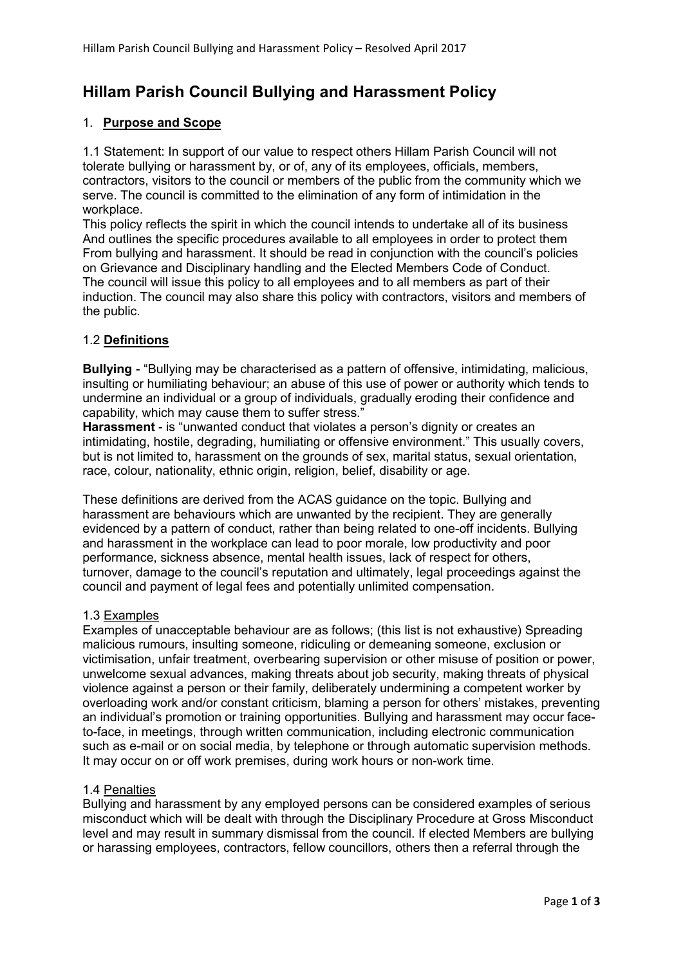# Hillam Parish Council Bullying and Harassment Policy

# 1. Purpose and Scope

1.1 Statement: In support of our value to respect others Hillam Parish Council will not tolerate bullying or harassment by, or of, any of its employees, officials, members, contractors, visitors to the council or members of the public from the community which we serve. The council is committed to the elimination of any form of intimidation in the workplace.

This policy reflects the spirit in which the council intends to undertake all of its business And outlines the specific procedures available to all employees in order to protect them From bullying and harassment. It should be read in conjunction with the council's policies on Grievance and Disciplinary handling and the Elected Members Code of Conduct. The council will issue this policy to all employees and to all members as part of their induction. The council may also share this policy with contractors, visitors and members of the public.

#### 1.2 Definitions

Bullying - "Bullying may be characterised as a pattern of offensive, intimidating, malicious, insulting or humiliating behaviour; an abuse of this use of power or authority which tends to undermine an individual or a group of individuals, gradually eroding their confidence and capability, which may cause them to suffer stress."

Harassment - is "unwanted conduct that violates a person's dignity or creates an intimidating, hostile, degrading, humiliating or offensive environment." This usually covers, but is not limited to, harassment on the grounds of sex, marital status, sexual orientation, race, colour, nationality, ethnic origin, religion, belief, disability or age.

These definitions are derived from the ACAS guidance on the topic. Bullying and harassment are behaviours which are unwanted by the recipient. They are generally evidenced by a pattern of conduct, rather than being related to one-off incidents. Bullying and harassment in the workplace can lead to poor morale, low productivity and poor performance, sickness absence, mental health issues, lack of respect for others, turnover, damage to the council's reputation and ultimately, legal proceedings against the council and payment of legal fees and potentially unlimited compensation.

#### 1.3 Examples

Examples of unacceptable behaviour are as follows; (this list is not exhaustive) Spreading malicious rumours, insulting someone, ridiculing or demeaning someone, exclusion or victimisation, unfair treatment, overbearing supervision or other misuse of position or power, unwelcome sexual advances, making threats about job security, making threats of physical violence against a person or their family, deliberately undermining a competent worker by overloading work and/or constant criticism, blaming a person for others' mistakes, preventing an individual's promotion or training opportunities. Bullying and harassment may occur faceto-face, in meetings, through written communication, including electronic communication such as e-mail or on social media, by telephone or through automatic supervision methods. It may occur on or off work premises, during work hours or non-work time.

#### 1.4 Penalties

Bullying and harassment by any employed persons can be considered examples of serious misconduct which will be dealt with through the Disciplinary Procedure at Gross Misconduct level and may result in summary dismissal from the council. If elected Members are bullying or harassing employees, contractors, fellow councillors, others then a referral through the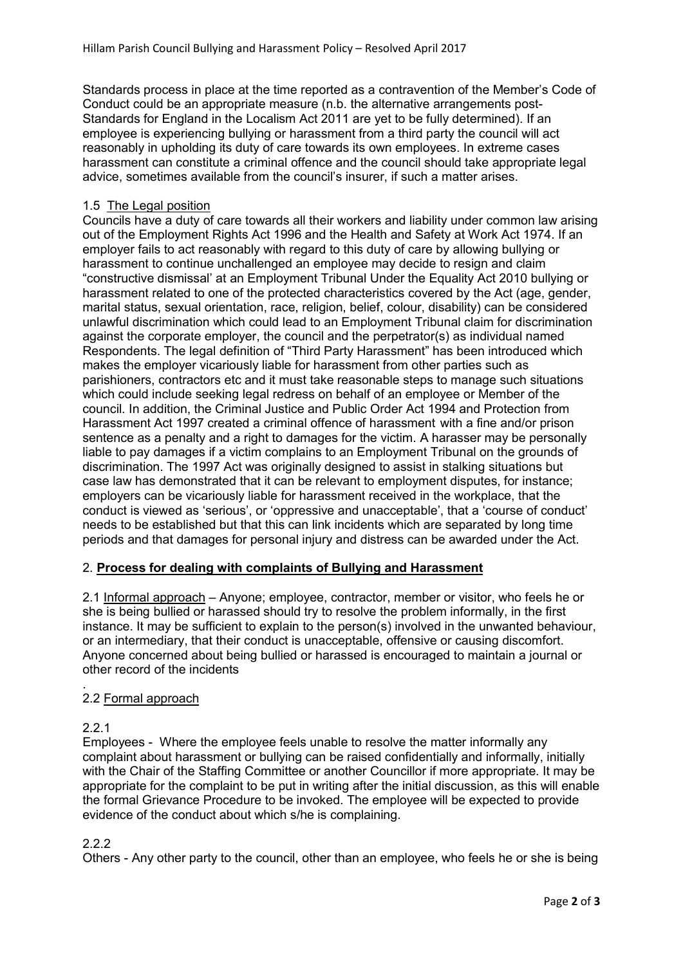Standards process in place at the time reported as a contravention of the Member's Code of Conduct could be an appropriate measure (n.b. the alternative arrangements post-Standards for England in the Localism Act 2011 are yet to be fully determined). If an employee is experiencing bullying or harassment from a third party the council will act reasonably in upholding its duty of care towards its own employees. In extreme cases harassment can constitute a criminal offence and the council should take appropriate legal advice, sometimes available from the council's insurer, if such a matter arises.

#### 1.5 The Legal position

Councils have a duty of care towards all their workers and liability under common law arising out of the Employment Rights Act 1996 and the Health and Safety at Work Act 1974. If an employer fails to act reasonably with regard to this duty of care by allowing bullying or harassment to continue unchallenged an employee may decide to resign and claim "constructive dismissal' at an Employment Tribunal Under the Equality Act 2010 bullying or harassment related to one of the protected characteristics covered by the Act (age, gender, marital status, sexual orientation, race, religion, belief, colour, disability) can be considered unlawful discrimination which could lead to an Employment Tribunal claim for discrimination against the corporate employer, the council and the perpetrator(s) as individual named Respondents. The legal definition of "Third Party Harassment" has been introduced which makes the employer vicariously liable for harassment from other parties such as parishioners, contractors etc and it must take reasonable steps to manage such situations which could include seeking legal redress on behalf of an employee or Member of the council. In addition, the Criminal Justice and Public Order Act 1994 and Protection from Harassment Act 1997 created a criminal offence of harassment with a fine and/or prison sentence as a penalty and a right to damages for the victim. A harasser may be personally liable to pay damages if a victim complains to an Employment Tribunal on the grounds of discrimination. The 1997 Act was originally designed to assist in stalking situations but case law has demonstrated that it can be relevant to employment disputes, for instance; employers can be vicariously liable for harassment received in the workplace, that the conduct is viewed as 'serious', or 'oppressive and unacceptable', that a 'course of conduct' needs to be established but that this can link incidents which are separated by long time periods and that damages for personal injury and distress can be awarded under the Act.

# 2. Process for dealing with complaints of Bullying and Harassment

2.1 Informal approach – Anyone; employee, contractor, member or visitor, who feels he or she is being bullied or harassed should try to resolve the problem informally, in the first instance. It may be sufficient to explain to the person(s) involved in the unwanted behaviour, or an intermediary, that their conduct is unacceptable, offensive or causing discomfort. Anyone concerned about being bullied or harassed is encouraged to maintain a journal or other record of the incidents

#### . 2.2 Formal approach

# 2.2.1

Employees - Where the employee feels unable to resolve the matter informally any complaint about harassment or bullying can be raised confidentially and informally, initially with the Chair of the Staffing Committee or another Councillor if more appropriate. It may be appropriate for the complaint to be put in writing after the initial discussion, as this will enable the formal Grievance Procedure to be invoked. The employee will be expected to provide evidence of the conduct about which s/he is complaining.

2.2.2

Others - Any other party to the council, other than an employee, who feels he or she is being